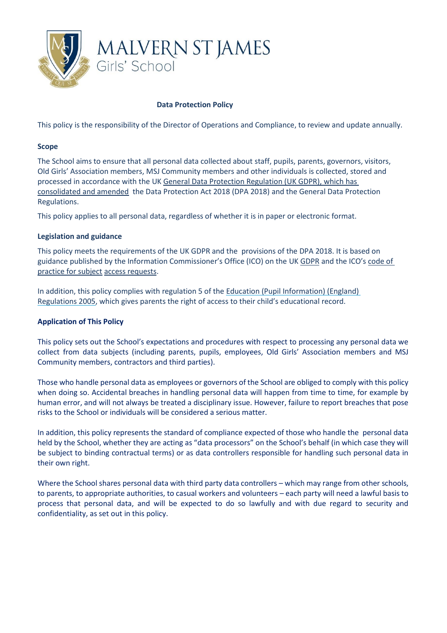

# **Data Protection Policy**

This policy is the responsibility of the Director of Operations and Compliance, to review and update annually.

### **Scope**

The School aims to ensure that all personal data collected about staff, pupils, parents, governors, visitors, Old Girls' Association members, MSJ Community members and other individuals is collected, stored and processed in accordance with the U[K General Data Protection Regulation \(UK GDPR\), which has](http://data.consilium.europa.eu/doc/document/ST-5419-2016-INIT/en/pdf)  [consolidated and amended](http://data.consilium.europa.eu/doc/document/ST-5419-2016-INIT/en/pdf) the Data Protection Act 2018 (DPA 2018) and the General Data Protection Regulations.

This policy applies to all personal data, regardless of whether it is in paper or electronic format.

### **Legislation and guidance**

This policy meets the requirements of the UK GDPR and the provisions of the DPA 2018. It is based on guidance published by the Information Commissioner's Office (ICO) on the UK [GDPR](https://ico.org.uk/for-organisations/guide-to-the-general-data-protection-regulation-gdpr/) and the ICO's code of [practice for subject](https://ico.org.uk/media/for-organisations/documents/2014223/subject-access-code-of-practice.pdf) [access requests.](https://ico.org.uk/media/for-organisations/documents/2014223/subject-access-code-of-practice.pdf)

In addition, this policy complies with regulation 5 of the [Education \(Pupil Information\) \(England\)](http://www.legislation.gov.uk/uksi/2005/1437/regulation/5/made)  [Regulations 2005,](http://www.legislation.gov.uk/uksi/2005/1437/regulation/5/made) which gives parents the right of access to their child's educational record.

# **Application of This Policy**

This policy sets out the School's expectations and procedures with respect to processing any personal data we collect from data subjects (including parents, pupils, employees, Old Girls' Association members and MSJ Community members, contractors and third parties).

Those who handle personal data as employees or governors of the School are obliged to comply with this policy when doing so. Accidental breaches in handling personal data will happen from time to time, for example by human error, and will not always be treated a disciplinary issue. However, failure to report breaches that pose risks to the School or individuals will be considered a serious matter.

In addition, this policy represents the standard of compliance expected of those who handle the personal data held by the School, whether they are acting as "data processors" on the School's behalf (in which case they will be subject to binding contractual terms) or as data controllers responsible for handling such personal data in their own right.

Where the School shares personal data with third party data controllers – which may range from other schools, to parents, to appropriate authorities, to casual workers and volunteers – each party will need a lawful basis to process that personal data, and will be expected to do so lawfully and with due regard to security and confidentiality, as set out in this policy.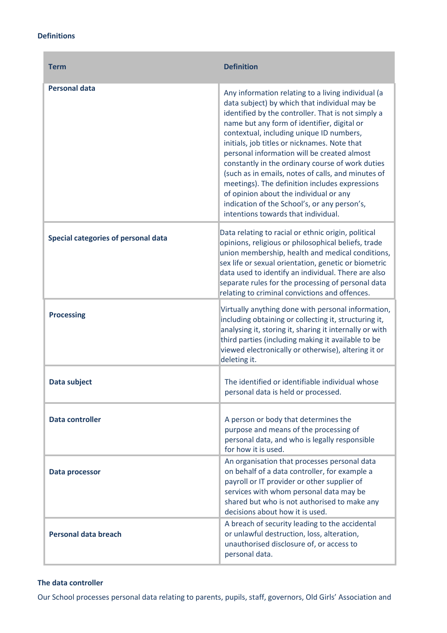### **Definitions**

 $\overline{a}$ 

| <b>Term</b>                         | <b>Definition</b>                                                                                                                                                                                                                                                                                                                                                                                                                                                                                                                                                                                                                                |
|-------------------------------------|--------------------------------------------------------------------------------------------------------------------------------------------------------------------------------------------------------------------------------------------------------------------------------------------------------------------------------------------------------------------------------------------------------------------------------------------------------------------------------------------------------------------------------------------------------------------------------------------------------------------------------------------------|
| <b>Personal data</b>                | Any information relating to a living individual (a<br>data subject) by which that individual may be<br>identified by the controller. That is not simply a<br>name but any form of identifier, digital or<br>contextual, including unique ID numbers,<br>initials, job titles or nicknames. Note that<br>personal information will be created almost<br>constantly in the ordinary course of work duties<br>(such as in emails, notes of calls, and minutes of<br>meetings). The definition includes expressions<br>of opinion about the individual or any<br>indication of the School's, or any person's,<br>intentions towards that individual. |
| Special categories of personal data | Data relating to racial or ethnic origin, political<br>opinions, religious or philosophical beliefs, trade<br>union membership, health and medical conditions,<br>sex life or sexual orientation, genetic or biometric<br>data used to identify an individual. There are also<br>separate rules for the processing of personal data<br>relating to criminal convictions and offences.                                                                                                                                                                                                                                                            |
| <b>Processing</b>                   | Virtually anything done with personal information,<br>including obtaining or collecting it, structuring it,<br>analysing it, storing it, sharing it internally or with<br>third parties (including making it available to be<br>viewed electronically or otherwise), altering it or<br>deleting it.                                                                                                                                                                                                                                                                                                                                              |
| Data subject                        | The identified or identifiable individual whose<br>personal data is held or processed.                                                                                                                                                                                                                                                                                                                                                                                                                                                                                                                                                           |
| <b>Data controller</b>              | A person or body that determines the<br>purpose and means of the processing of<br>personal data, and who is legally responsible<br>for how it is used.                                                                                                                                                                                                                                                                                                                                                                                                                                                                                           |
| Data processor                      | An organisation that processes personal data<br>on behalf of a data controller, for example a<br>payroll or IT provider or other supplier of<br>services with whom personal data may be<br>shared but who is not authorised to make any<br>decisions about how it is used.                                                                                                                                                                                                                                                                                                                                                                       |
| <b>Personal data breach</b>         | A breach of security leading to the accidental<br>or unlawful destruction, loss, alteration,<br>unauthorised disclosure of, or access to<br>personal data.                                                                                                                                                                                                                                                                                                                                                                                                                                                                                       |

# **The data controller**

Our School processes personal data relating to parents, pupils, staff, governors, Old Girls' Association and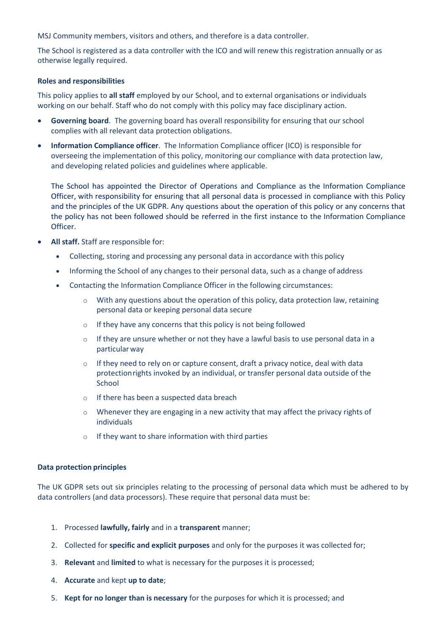MSJ Community members, visitors and others, and therefore is a data controller.

The School is registered as a data controller with the ICO and will renew this registration annually or as otherwise legally required.

### **Roles and responsibilities**

This policy applies to **all staff** employed by our School, and to external organisations or individuals working on our behalf. Staff who do not comply with this policy may face disciplinary action.

- **Governing board**. The governing board has overall responsibility for ensuring that our school complies with all relevant data protection obligations.
- **Information Compliance officer**. The Information Compliance officer (ICO) is responsible for overseeing the implementation of this policy, monitoring our compliance with data protection law, and developing related policies and guidelines where applicable.

The School has appointed the Director of Operations and Compliance as the Information Compliance Officer, with responsibility for ensuring that all personal data is processed in compliance with this Policy and the principles of the UK GDPR. Any questions about the operation of this policy or any concerns that the policy has not been followed should be referred in the first instance to the Information Compliance Officer.

- **All staff.** Staff are responsible for:
	- Collecting, storing and processing any personal data in accordance with this policy
	- Informing the School of any changes to their personal data, such as a change of address
	- Contacting the Information Compliance Officer in the following circumstances:
		- $\circ$  With any questions about the operation of this policy, data protection law, retaining personal data or keeping personal data secure
		- $\circ$  If they have any concerns that this policy is not being followed
		- $\circ$  If they are unsure whether or not they have a lawful basis to use personal data in a particularway
		- $\circ$  If they need to rely on or capture consent, draft a privacy notice, deal with data protectionrights invoked by an individual, or transfer personal data outside of the **School**
		- o If there has been a suspected data breach
		- $\circ$  Whenever they are engaging in a new activity that may affect the privacy rights of individuals
		- o If they want to share information with third parties

# **Data protection principles**

The UK GDPR sets out six principles relating to the processing of personal data which must be adhered to by data controllers (and data processors). These require that personal data must be:

- 1. Processed **lawfully, fairly** and in a **transparent** manner;
- 2. Collected for **specific and explicit purposes** and only for the purposes it was collected for;
- 3. **Relevant** and **limited** to what is necessary for the purposes it is processed;
- 4. **Accurate** and kept **up to date**;
- 5. **Kept for no longer than is necessary** for the purposes for which it is processed; and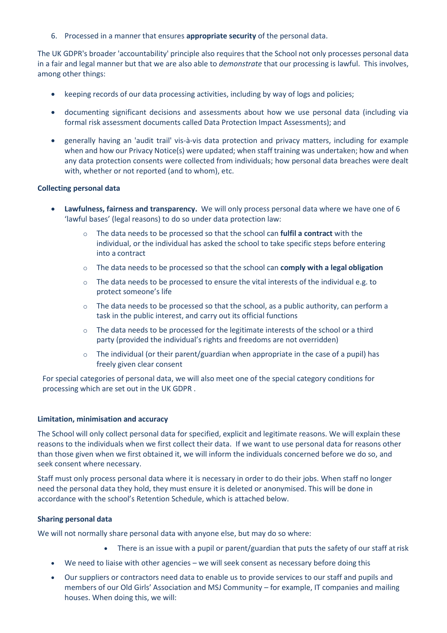6. Processed in a manner that ensures **appropriate security** of the personal data.

The UK GDPR's broader 'accountability' principle also requires that the School not only processes personal data in a fair and legal manner but that we are also able to *demonstrate* that our processing is lawful. This involves, among other things:

- keeping records of our data processing activities, including by way of logs and policies;
- documenting significant decisions and assessments about how we use personal data (including via formal risk assessment documents called Data Protection Impact Assessments); and
- generally having an 'audit trail' vis-à-vis data protection and privacy matters, including for example when and how our Privacy Notice(s) were updated; when staff training was undertaken; how and when any data protection consents were collected from individuals; how personal data breaches were dealt with, whether or not reported (and to whom), etc.

### **Collecting personal data**

- **Lawfulness, fairness and transparency.** We will only process personal data where we have one of 6 'lawful bases' (legal reasons) to do so under data protection law:
	- o The data needs to be processed so that the school can **fulfil a contract** with the individual, or the individual has asked the school to take specific steps before entering into a contract
	- o The data needs to be processed so that the school can **comply with a legal obligation**
	- o The data needs to be processed to ensure the vital interests of the individual e.g. to protect someone's life
	- $\circ$  The data needs to be processed so that the school, as a public authority, can perform a task in the public interest, and carry out its official functions
	- $\circ$  The data needs to be processed for the legitimate interests of the school or a third party (provided the individual's rights and freedoms are not overridden)
	- $\circ$  The individual (or their parent/guardian when appropriate in the case of a pupil) has freely given clear consent

For special categories of personal data, we will also meet one of the special category conditions for processing which are set out in the UK GDPR .

#### **Limitation, minimisation and accuracy**

The School will only collect personal data for specified, explicit and legitimate reasons. We will explain these reasons to the individuals when we first collect their data. If we want to use personal data for reasons other than those given when we first obtained it, we will inform the individuals concerned before we do so, and seek consent where necessary.

Staff must only process personal data where it is necessary in order to do their jobs. When staff no longer need the personal data they hold, they must ensure it is deleted or anonymised. This will be done in accordance with the school's Retention Schedule, which is attached below.

# **Sharing personal data**

We will not normally share personal data with anyone else, but may do so where:

- There is an issue with a pupil or parent/guardian that puts the safety of our staff at risk
- We need to liaise with other agencies we will seek consent as necessary before doing this
- Our suppliers or contractors need data to enable us to provide services to our staff and pupils and members of our Old Girls' Association and MSJ Community – for example, IT companies and mailing houses. When doing this, we will: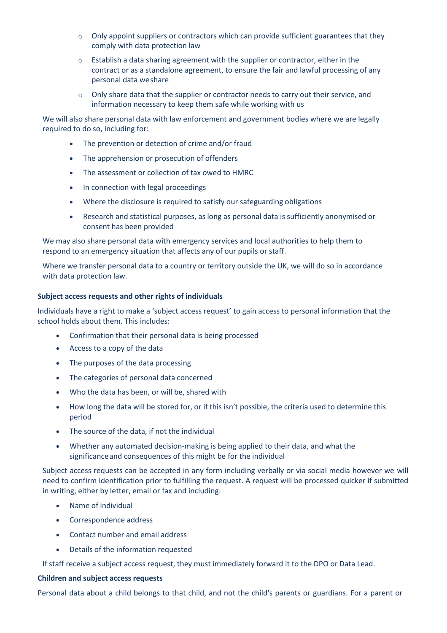- o Only appoint suppliers or contractors which can provide sufficient guarantees that they comply with data protection law
- $\circ$  Establish a data sharing agreement with the supplier or contractor, either in the contract or as a standalone agreement, to ensure the fair and lawful processing of any personal data weshare
- $\circ$  Only share data that the supplier or contractor needs to carry out their service, and information necessary to keep them safe while working with us

We will also share personal data with law enforcement and government bodies where we are legally required to do so, including for:

- The prevention or detection of crime and/or fraud
- The apprehension or prosecution of offenders
- The assessment or collection of tax owed to HMRC
- In connection with legal proceedings
- Where the disclosure is required to satisfy our safeguarding obligations
- Research and statistical purposes, as long as personal data is sufficiently anonymised or consent has been provided

We may also share personal data with emergency services and local authorities to help them to respond to an emergency situation that affects any of our pupils or staff.

Where we transfer personal data to a country or territory outside the UK, we will do so in accordance with data protection law.

### **Subject access requests and other rights of individuals**

Individuals have a right to make a 'subject access request' to gain access to personal information that the school holds about them. This includes:

- Confirmation that their personal data is being processed
- Access to a copy of the data
- The purposes of the data processing
- The categories of personal data concerned
- Who the data has been, or will be, shared with
- How long the data will be stored for, or if this isn't possible, the criteria used to determine this period
- The source of the data, if not the individual
- Whether any automated decision-making is being applied to their data, and what the significanceand consequences of this might be for the individual

Subject access requests can be accepted in any form including verbally or via social media however we will need to confirm identification prior to fulfilling the request. A request will be processed quicker if submitted in writing, either by letter, email or fax and including:

- Name of individual
- Correspondence address
- Contact number and email address
- Details of the information requested

If staff receive a subject access request, they must immediately forward it to the DPO or Data Lead.

# **Children and subject access requests**

Personal data about a child belongs to that child, and not the child's parents or guardians. For a parent or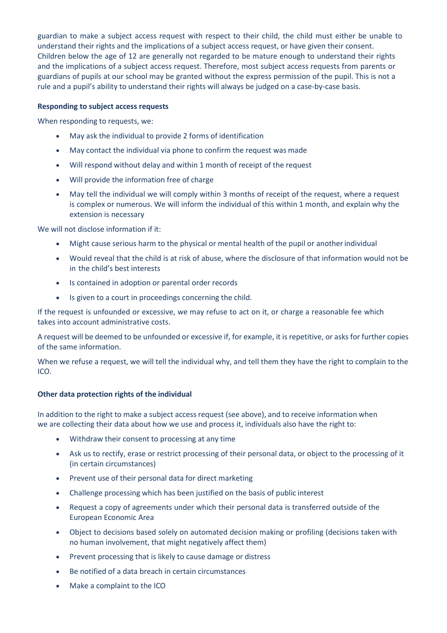guardian to make a subject access request with respect to their child, the child must either be unable to understand their rights and the implications of a subject access request, or have given their consent. Children below the age of 12 are generally not regarded to be mature enough to understand their rights and the implications of a subject access request. Therefore, most subject access requests from parents or guardians of pupils at our school may be granted without the express permission of the pupil. This is not a rule and a pupil's ability to understand their rights will always be judged on a case-by-case basis.

# **Responding to subject access requests**

When responding to requests, we:

- May ask the individual to provide 2 forms of identification
- May contact the individual via phone to confirm the request was made
- Will respond without delay and within 1 month of receipt of the request
- Will provide the information free of charge
- May tell the individual we will comply within 3 months of receipt of the request, where a request is complex or numerous. We will inform the individual of this within 1 month, and explain why the extension is necessary

We will not disclose information if it:

- Might cause serious harm to the physical or mental health of the pupil or anotherindividual
- Would reveal that the child is at risk of abuse, where the disclosure of that information would not be in the child's best interests
- Is contained in adoption or parental order records
- Is given to a court in proceedings concerning the child.

If the request is unfounded or excessive, we may refuse to act on it, or charge a reasonable fee which takes into account administrative costs.

A request will be deemed to be unfounded or excessive if, for example, it is repetitive, or asks for further copies of the same information.

When we refuse a request, we will tell the individual why, and tell them they have the right to complain to the ICO.

#### **Other data protection rights of the individual**

In addition to the right to make a subject access request (see above), and to receive information when we are collecting their data about how we use and process it, individuals also have the right to:

- Withdraw their consent to processing at any time
- Ask us to rectify, erase or restrict processing of their personal data, or object to the processing of it (in certain circumstances)
- Prevent use of their personal data for direct marketing
- Challenge processing which has been justified on the basis of public interest
- Request a copy of agreements under which their personal data is transferred outside of the European Economic Area
- Object to decisions based solely on automated decision making or profiling (decisions taken with no human involvement, that might negatively affect them)
- Prevent processing that is likely to cause damage or distress
- Be notified of a data breach in certain circumstances
- Make a complaint to the ICO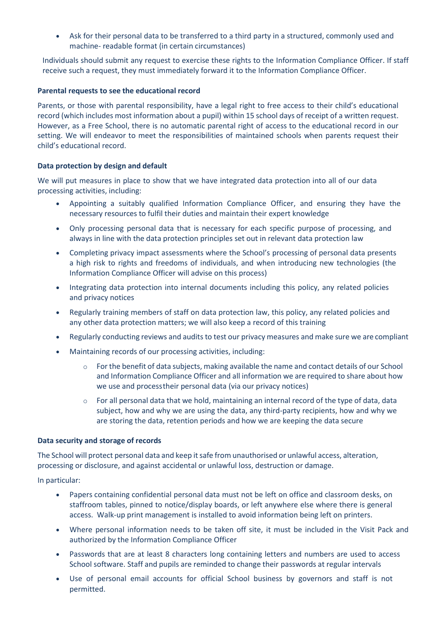• Ask for their personal data to be transferred to a third party in a structured, commonly used and machine- readable format (in certain circumstances)

Individuals should submit any request to exercise these rights to the Information Compliance Officer. If staff receive such a request, they must immediately forward it to the Information Compliance Officer.

### **Parental requests to see the educational record**

Parents, or those with parental responsibility, have a legal right to free access to their child's educational record (which includes most information about a pupil) within 15 school days of receipt of a written request. However, as a Free School, there is no automatic parental right of access to the educational record in our setting. We will endeavor to meet the responsibilities of maintained schools when parents request their child's educational record.

### **Data protection by design and default**

We will put measures in place to show that we have integrated data protection into all of our data processing activities, including:

- Appointing a suitably qualified Information Compliance Officer, and ensuring they have the necessary resources to fulfil their duties and maintain their expert knowledge
- Only processing personal data that is necessary for each specific purpose of processing, and always in line with the data protection principles set out in relevant data protection law
- Completing privacy impact assessments where the School's processing of personal data presents a high risk to rights and freedoms of individuals, and when introducing new technologies (the Information Compliance Officer will advise on this process)
- Integrating data protection into internal documents including this policy, any related policies and privacy notices
- Regularly training members of staff on data protection law, this policy, any related policies and any other data protection matters; we will also keep a record of this training
- Regularly conducting reviews and audits to test our privacy measures and make sure we are compliant
- Maintaining records of our processing activities, including:
	- $\circ$  For the benefit of data subjects, making available the name and contact details of our School and Information Compliance Officer and all information we are required to share about how we use and processtheir personal data (via our privacy notices)
	- $\circ$  For all personal data that we hold, maintaining an internal record of the type of data, data subject, how and why we are using the data, any third-party recipients, how and why we are storing the data, retention periods and how we are keeping the data secure

#### **Data security and storage of records**

The School will protect personal data and keep it safe from unauthorised or unlawful access, alteration, processing or disclosure, and against accidental or unlawful loss, destruction or damage.

In particular:

- Papers containing confidential personal data must not be left on office and classroom desks, on staffroom tables, pinned to notice/display boards, or left anywhere else where there is general access. Walk-up print management is installed to avoid information being left on printers.
- Where personal information needs to be taken off site, it must be included in the Visit Pack and authorized by the Information Compliance Officer
- Passwords that are at least 8 characters long containing letters and numbers are used to access School software. Staff and pupils are reminded to change their passwords at regular intervals
- Use of personal email accounts for official School business by governors and staff is not permitted.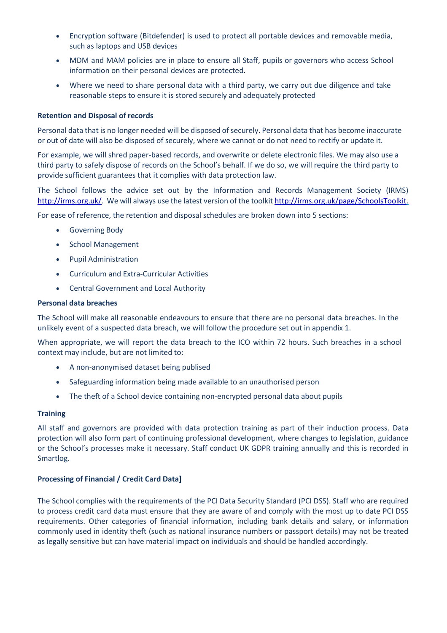- Encryption software (Bitdefender) is used to protect all portable devices and removable media, such as laptops and USB devices
- MDM and MAM policies are in place to ensure all Staff, pupils or governors who access School information on their personal devices are protected.
- Where we need to share personal data with a third party, we carry out due diligence and take reasonable steps to ensure it is stored securely and adequately protected

### **Retention and Disposal of records**

Personal data that is no longer needed will be disposed of securely. Personal data that has become inaccurate or out of date will also be disposed of securely, where we cannot or do not need to rectify or update it.

For example, we will shred paper-based records, and overwrite or delete electronic files. We may also use a third party to safely dispose of records on the School's behalf. If we do so, we will require the third party to provide sufficient guarantees that it complies with data protection law.

The School follows the advice set out by the Information and Records Management Society (IRMS) [http://irms.org.uk/.](http://irms.org.uk/) We will always use the latest version of the toolkit [http://irms.org.uk/page/SchoolsToolkit.](http://irms.org.uk/page/SchoolsToolkit)

For ease of reference, the retention and disposal schedules are broken down into 5 sections:

- Governing Body
- School Management
- Pupil Administration
- Curriculum and Extra-Curricular Activities
- Central Government and Local Authority

#### **Personal data breaches**

The School will make all reasonable endeavours to ensure that there are no personal data breaches. In the unlikely event of a suspected data breach, we will follow the procedure set out in appendix 1.

When appropriate, we will report the data breach to the ICO within 72 hours. Such breaches in a school context may include, but are not limited to:

- A non-anonymised dataset being publised
- Safeguarding information being made available to an unauthorised person
- The theft of a School device containing non-encrypted personal data about pupils

#### **Training**

All staff and governors are provided with data protection training as part of their induction process. Data protection will also form part of continuing professional development, where changes to legislation, guidance or the School's processes make it necessary. Staff conduct UK GDPR training annually and this is recorded in Smartlog.

#### **Processing of Financial / Credit Card Data]**

The School complies with the requirements of the PCI Data Security Standard (PCI DSS). Staff who are required to process credit card data must ensure that they are aware of and comply with the most up to date PCI DSS requirements. Other categories of financial information, including bank details and salary, or information commonly used in identity theft (such as national insurance numbers or passport details) may not be treated as legally sensitive but can have material impact on individuals and should be handled accordingly.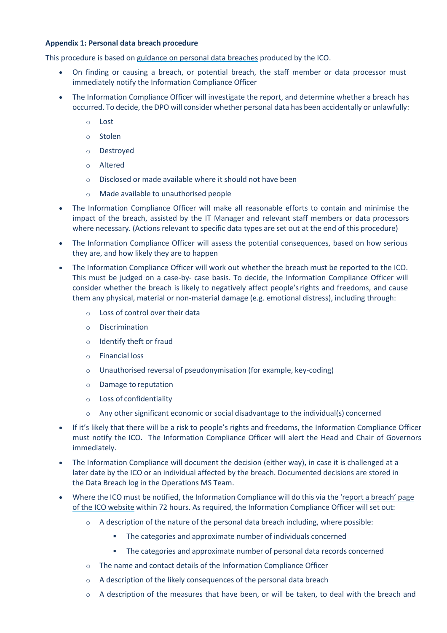# **Appendix 1: Personal data breach procedure**

This procedure is based o[n guidance on personal data breaches](https://ico.org.uk/for-organisations/guide-to-the-general-data-protection-regulation-gdpr/personal-data-breaches/) produced by the ICO.

- On finding or causing a breach, or potential breach, the staff member or data processor must immediately notify the Information Compliance Officer
- The Information Compliance Officer will investigate the report, and determine whether a breach has occurred. To decide, the DPO will consider whether personal data has been accidentally or unlawfully:
	- o Lost
	- o Stolen
	- o Destroyed
	- o Altered
	- o Disclosed or made available where it should not have been
	- o Made available to unauthorised people
- The Information Compliance Officer will make all reasonable efforts to contain and minimise the impact of the breach, assisted by the IT Manager and relevant staff members or data processors where necessary. (Actions relevant to specific data types are set out at the end of this procedure)
- The Information Compliance Officer will assess the potential consequences, based on how serious they are, and how likely they are to happen
- The Information Compliance Officer will work out whether the breach must be reported to the ICO. This must be judged on a case-by- case basis. To decide, the Information Compliance Officer will consider whether the breach is likely to negatively affect people'srights and freedoms, and cause them any physical, material or non-material damage (e.g. emotional distress), including through:
	- o Loss of control over their data
	- o Discrimination
	- o Identify theft or fraud
	- o Financial loss
	- o Unauthorised reversal of pseudonymisation (for example, key-coding)
	- o Damage to reputation
	- o Loss of confidentiality
	- $\circ$  Any other significant economic or social disadvantage to the individual(s) concerned
- If it's likely that there will be a risk to people's rights and freedoms, the Information Compliance Officer must notify the ICO. The Information Compliance Officer will alert the Head and Chair of Governors immediately.
- The Information Compliance will document the decision (either way), in case it is challenged at a later date by the ICO or an individual affected by the breach. Documented decisions are stored in the Data Breach log in the Operations MS Team.
- Where the ICO must be notified, the Information Compliance will do this via the 'report a [breach'](https://ico.org.uk/for-organisations/report-a-breach/) page of the ICO [website](https://ico.org.uk/for-organisations/report-a-breach/) within 72 hours. As required, the Information Compliance Officer will set out:
	- o A description of the nature of the personal data breach including, where possible:
		- The categories and approximate number of individuals concerned
		- The categories and approximate number of personal data records concerned
	- o The name and contact details of the Information Compliance Officer
	- o A description of the likely consequences of the personal data breach
	- $\circ$  A description of the measures that have been, or will be taken, to deal with the breach and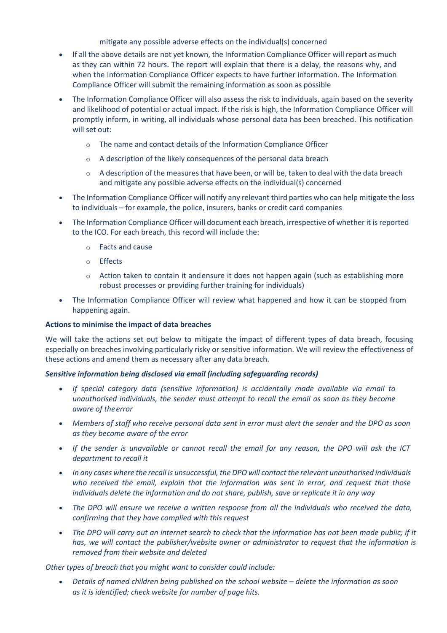# mitigate any possible adverse effects on the individual(s) concerned

- If all the above details are not yet known, the Information Compliance Officer will report as much as they can within 72 hours. The report will explain that there is a delay, the reasons why, and when the Information Compliance Officer expects to have further information. The Information Compliance Officer will submit the remaining information as soon as possible
- The Information Compliance Officer will also assess the risk to individuals, again based on the severity and likelihood of potential or actual impact. If the risk is high, the Information Compliance Officer will promptly inform, in writing, all individuals whose personal data has been breached. This notification will set out:
	- o The name and contact details of the Information Compliance Officer
	- o A description of the likely consequences of the personal data breach
	- $\circ$  A description of the measures that have been, or will be, taken to deal with the data breach and mitigate any possible adverse effects on the individual(s) concerned
- The Information Compliance Officer will notify any relevant third parties who can help mitigate the loss to individuals – for example, the police, insurers, banks or credit card companies
- The Information Compliance Officer will document each breach, irrespective of whether it is reported to the ICO. For each breach, this record will include the:
	- o Facts and cause
	- o Effects
	- $\circ$  Action taken to contain it andensure it does not happen again (such as establishing more robust processes or providing further training for individuals)
- The Information Compliance Officer will review what happened and how it can be stopped from happening again.

# **Actions to minimise the impact of data breaches**

We will take the actions set out below to mitigate the impact of different types of data breach, focusing especially on breaches involving particularly risky or sensitive information. We will review the effectiveness of these actions and amend them as necessary after any data breach.

# *Sensitive information being disclosed via email (including safeguarding records)*

- *If special category data (sensitive information) is accidentally made available via email to unauthorised individuals, the sender must attempt to recall the email as soon as they become aware of theerror*
- *Members of staff who receive personal data sent in error must alert the sender and the DPO as soon as they become aware of the error*
- *If the sender is unavailable or cannot recall the email for any reason, the DPO will ask the ICT department to recall it*
- *In any cases where the recall is unsuccessful, the DPO will contact the relevant unauthorised individuals who received the email, explain that the information was sent in error, and request that those individuals delete the information and do not share, publish, save or replicate it in any way*
- *The DPO will ensure we receive a written response from all the individuals who received the data, confirming that they have complied with this request*
- *The DPO will carry out an internet search to check that the information has not been made public; if it has, we will contact the publisher/website owner or administrator to request that the information is removed from their website and deleted*

*Other types of breach that you might want to consider could include:*

• Details of named children being published on the school website – delete the information as soon *as it is identified; check website for number of page hits.*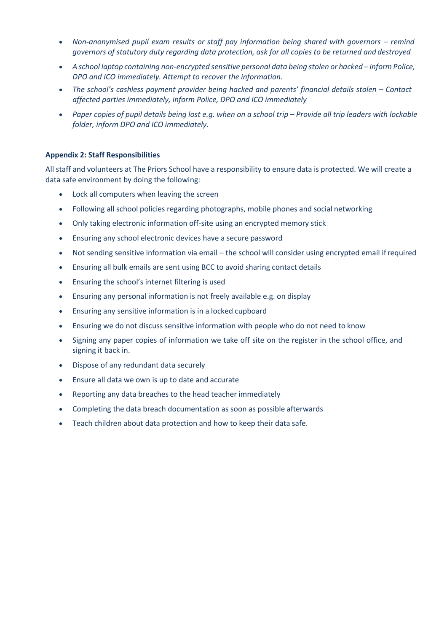- *Non-anonymised pupil exam results or staff pay information being shared with governors – remind governors of statutory duty regarding data protection, ask for all copies to be returned and destroyed*
- *A school laptop containing non-encrypted sensitive personal data being stolen or hacked – inform Police, DPO and ICO immediately. Attempt to recover the information.*
- *The school's cashless payment provider being hacked and parents' financial details stolen – Contact affected parties immediately, inform Police, DPO and ICO immediately*
- *Paper copies of pupil details being lost e.g. when on a school trip – Provide all trip leaders with lockable folder, inform DPO and ICO immediately.*

### **Appendix 2: Staff Responsibilities**

All staff and volunteers at The Priors School have a responsibility to ensure data is protected. We will create a data safe environment by doing the following:

- Lock all computers when leaving the screen
- Following all school policies regarding photographs, mobile phones and social networking
- Only taking electronic information off-site using an encrypted memory stick
- Ensuring any school electronic devices have a secure password
- Not sending sensitive information via email the school will consider using encrypted email ifrequired
- Ensuring all bulk emails are sent using BCC to avoid sharing contact details
- Ensuring the school's internet filtering is used
- Ensuring any personal information is not freely available e.g. on display
- Ensuring any sensitive information is in a locked cupboard
- Ensuring we do not discuss sensitive information with people who do not need to know
- Signing any paper copies of information we take off site on the register in the school office, and signing it back in.
- Dispose of any redundant data securely
- Ensure all data we own is up to date and accurate
- Reporting any data breaches to the head teacher immediately
- Completing the data breach documentation as soon as possible afterwards
- Teach children about data protection and how to keep their data safe.